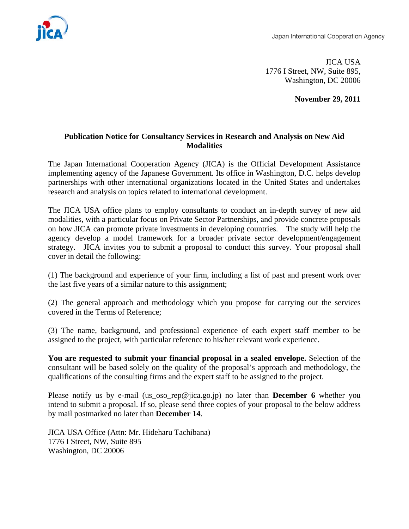

 JICA USA 1776 I Street, NW, Suite 895, Washington, DC 20006

**November 29, 2011** 

## **Publication Notice for Consultancy Services in Research and Analysis on New Aid Modalities**

The Japan International Cooperation Agency (JICA) is the Official Development Assistance implementing agency of the Japanese Government. Its office in Washington, D.C. helps develop partnerships with other international organizations located in the United States and undertakes research and analysis on topics related to international development.

The JICA USA office plans to employ consultants to conduct an in-depth survey of new aid modalities, with a particular focus on Private Sector Partnerships, and provide concrete proposals on how JICA can promote private investments in developing countries. The study will help the agency develop a model framework for a broader private sector development/engagement strategy. JICA invites you to submit a proposal to conduct this survey. Your proposal shall cover in detail the following:

(1) The background and experience of your firm, including a list of past and present work over the last five years of a similar nature to this assignment;

(2) The general approach and methodology which you propose for carrying out the services covered in the Terms of Reference;

(3) The name, background, and professional experience of each expert staff member to be assigned to the project, with particular reference to his/her relevant work experience.

**You are requested to submit your financial proposal in a sealed envelope.** Selection of the consultant will be based solely on the quality of the proposal's approach and methodology, the qualifications of the consulting firms and the expert staff to be assigned to the project.

Please notify us by e-mail (us\_oso\_rep@jica.go.jp) no later than **December 6** whether you intend to submit a proposal. If so, please send three copies of your proposal to the below address by mail postmarked no later than **December 14**.

JICA USA Office (Attn: Mr. Hideharu Tachibana) 1776 I Street, NW, Suite 895 Washington, DC 20006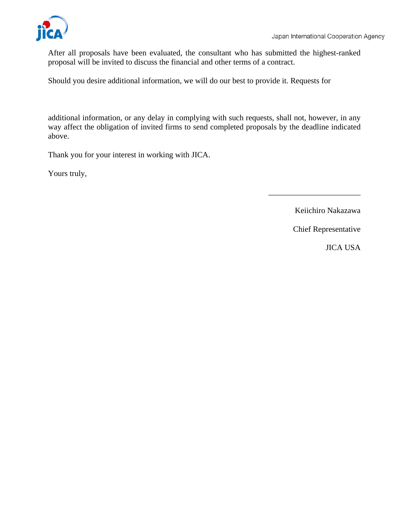

After all proposals have been evaluated, the consultant who has submitted the highest-ranked proposal will be invited to discuss the financial and other terms of a contract.

Should you desire additional information, we will do our best to provide it. Requests for

additional information, or any delay in complying with such requests, shall not, however, in any way affect the obligation of invited firms to send completed proposals by the deadline indicated above.

Thank you for your interest in working with JICA.

Yours truly,

Keiichiro Nakazawa

\_\_\_\_\_\_\_\_\_\_\_\_\_\_\_\_\_\_\_\_\_\_\_

Chief Representative

JICA USA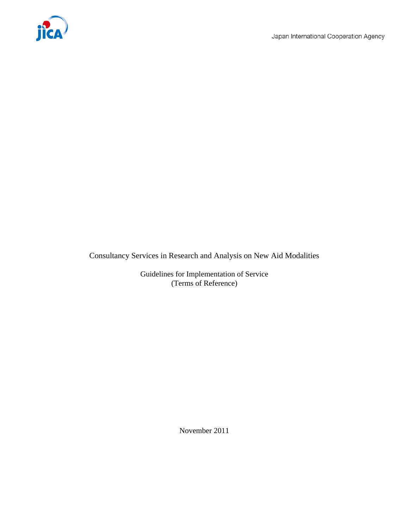

Consultancy Services in Research and Analysis on New Aid Modalities

Guidelines for Implementation of Service (Terms of Reference)

November 2011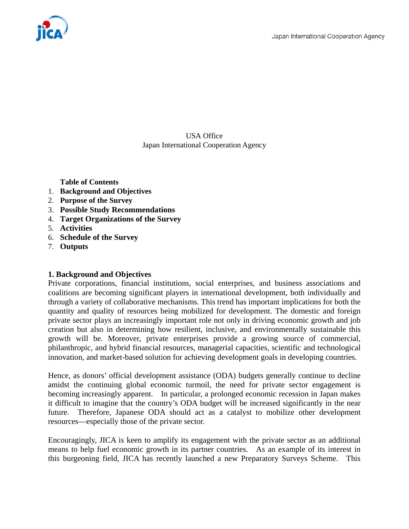

USA Office Japan International Cooperation Agency

**Table of Contents** 

- 1. **Background and Objectives**
- 2. **Purpose of the Survey**
- 3. **Possible Study Recommendations**
- 4. **Target Organizations of the Survey**
- 5. **Activities**
- 6. **Schedule of the Survey**
- 7. **Outputs**

#### **1. Background and Objectives**

Private corporations, financial institutions, social enterprises, and business associations and coalitions are becoming significant players in international development, both individually and through a variety of collaborative mechanisms. This trend has important implications for both the quantity and quality of resources being mobilized for development. The domestic and foreign private sector plays an increasingly important role not only in driving economic growth and job creation but also in determining how resilient, inclusive, and environmentally sustainable this growth will be. Moreover, private enterprises provide a growing source of commercial, philanthropic, and hybrid financial resources, managerial capacities, scientific and technological innovation, and market-based solution for achieving development goals in developing countries.

Hence, as donors' official development assistance (ODA) budgets generally continue to decline amidst the continuing global economic turmoil, the need for private sector engagement is becoming increasingly apparent. In particular, a prolonged economic recession in Japan makes it difficult to imagine that the country's ODA budget will be increased significantly in the near future. Therefore, Japanese ODA should act as a catalyst to mobilize other development resources—especially those of the private sector.

Encouragingly, JICA is keen to amplify its engagement with the private sector as an additional means to help fuel economic growth in its partner countries. As an example of its interest in this burgeoning field, JICA has recently launched a new Preparatory Surveys Scheme. This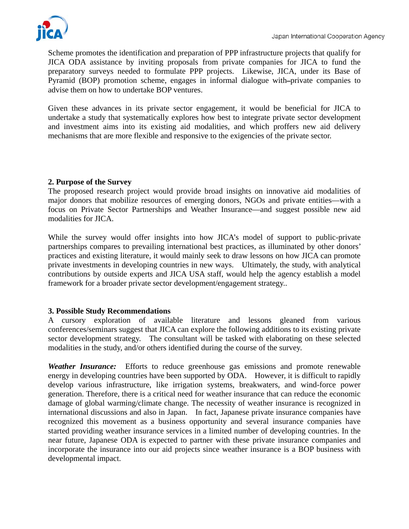

Scheme promotes the identification and preparation of PPP infrastructure projects that qualify for JICA ODA assistance by inviting proposals from private companies for JICA to fund the preparatory surveys needed to formulate PPP projects. Likewise, JICA, under its Base of Pyramid (BOP) promotion scheme, engages in informal dialogue with-private companies to advise them on how to undertake BOP ventures.

Given these advances in its private sector engagement, it would be beneficial for JICA to undertake a study that systematically explores how best to integrate private sector development and investment aims into its existing aid modalities, and which proffers new aid delivery mechanisms that are more flexible and responsive to the exigencies of the private sector.

# **2. Purpose of the Survey**

The proposed research project would provide broad insights on innovative aid modalities of major donors that mobilize resources of emerging donors, NGOs and private entities—with a focus on Private Sector Partnerships and Weather Insurance—and suggest possible new aid modalities for JICA.

While the survey would offer insights into how JICA's model of support to public-private partnerships compares to prevailing international best practices, as illuminated by other donors' practices and existing literature, it would mainly seek to draw lessons on how JICA can promote private investments in developing countries in new ways. Ultimately, the study, with analytical contributions by outside experts and JICA USA staff, would help the agency establish a model framework for a broader private sector development/engagement strategy..

# **3. Possible Study Recommendations**

A cursory exploration of available literature and lessons gleaned from various conferences/seminars suggest that JICA can explore the following additions to its existing private sector development strategy. The consultant will be tasked with elaborating on these selected modalities in the study, and/or others identified during the course of the survey.

*Weather Insurance:* Efforts to reduce greenhouse gas emissions and promote renewable energy in developing countries have been supported by ODA. However, it is difficult to rapidly develop various infrastructure, like irrigation systems, breakwaters, and wind-force power generation. Therefore, there is a critical need for weather insurance that can reduce the economic damage of global warming/climate change. The necessity of weather insurance is recognized in international discussions and also in Japan. In fact, Japanese private insurance companies have recognized this movement as a business opportunity and several insurance companies have started providing weather insurance services in a limited number of developing countries. In the near future, Japanese ODA is expected to partner with these private insurance companies and incorporate the insurance into our aid projects since weather insurance is a BOP business with developmental impact.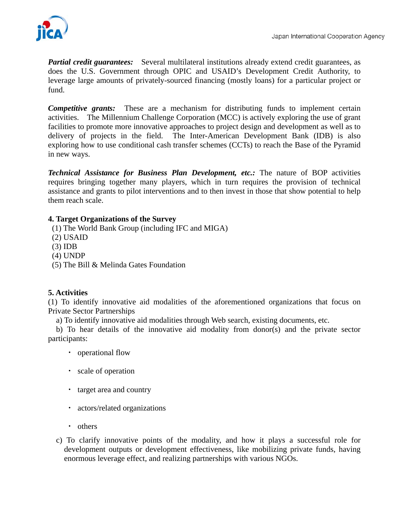*Partial credit guarantees:* Several multilateral institutions already extend credit guarantees, as does the U.S. Government through OPIC and USAID's Development Credit Authority, to leverage large amounts of privately-sourced financing (mostly loans) for a particular project or fund.

*Competitive grants:* These are a mechanism for distributing funds to implement certain activities. The Millennium Challenge Corporation (MCC) is actively exploring the use of grant facilities to promote more innovative approaches to project design and development as well as to delivery of projects in the field. The Inter-American Development Bank (IDB) is also exploring how to use conditional cash transfer schemes (CCTs) to reach the Base of the Pyramid in new ways.

*Technical Assistance for Business Plan Development, etc.:* The nature of BOP activities requires bringing together many players, which in turn requires the provision of technical assistance and grants to pilot interventions and to then invest in those that show potential to help them reach scale.

# **4. Target Organizations of the Survey**

- (1) The World Bank Group (including IFC and MIGA)
- (2) USAID
- (3) IDB
- (4) UNDP
- (5) The Bill & Melinda Gates Foundation

## **5. Activities**

(1) To identify innovative aid modalities of the aforementioned organizations that focus on Private Sector Partnerships

a) To identify innovative aid modalities through Web search, existing documents, etc.

 b) To hear details of the innovative aid modality from donor(s) and the private sector participants:

- ・ operational flow
- ・ scale of operation
- ・ target area and country
- ・ actors/related organizations
- ・ others
- c) To clarify innovative points of the modality, and how it plays a successful role for development outputs or development effectiveness, like mobilizing private funds, having enormous leverage effect, and realizing partnerships with various NGOs.